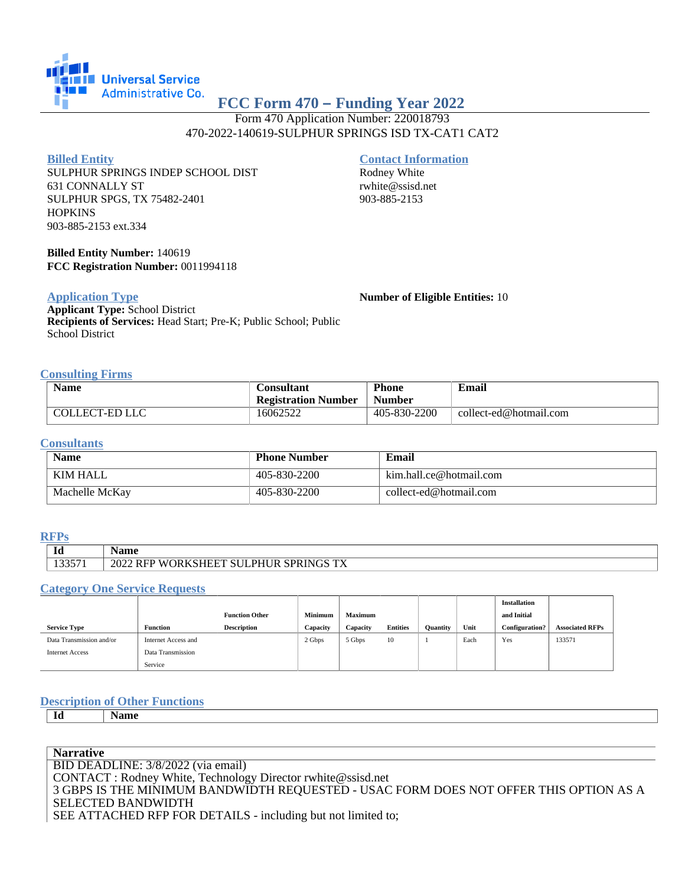

# **FCC Form 470 – Funding Year 2022**

Form 470 Application Number: 220018793 470-2022-140619-SULPHUR SPRINGS ISD TX-CAT1 CAT2

#### **Billed Entity**

SULPHUR SPRINGS INDEP SCHOOL DIST 631 CONNALLY ST SULPHUR SPGS, TX 75482-2401 **HOPKINS** 903-885-2153 ext.334

# **Contact Information**

Rodney White rwhite@ssisd.net 903-885-2153

**Billed Entity Number:** 140619 **FCC Registration Number:** 0011994118

#### **Application Type**

**Applicant Type:** School District **Recipients of Services:** Head Start; Pre-K; Public School; Public School District

**Number of Eligible Entities:** 10

#### **Consulting Firms**

| <b>Name</b>    | <b>Consultant</b>          | <b>Phone</b>  | <b>Email</b>           |  |  |
|----------------|----------------------------|---------------|------------------------|--|--|
|                | <b>Registration Number</b> | <b>Number</b> |                        |  |  |
| COLLECT-ED LLC | 16062522                   | 405-830-2200  | collect-ed@hotmail.com |  |  |

#### **Consultants**

| <b>Name</b>    | <b>Phone Number</b> | Email                   |
|----------------|---------------------|-------------------------|
| KIM HALL       | 405-830-2200        | kim.hall.ce@hotmail.com |
| Machelle McKay | 405-830-2200        | collect-ed@hotmail.com  |

#### **RFPs**

|        | Name                                  |
|--------|---------------------------------------|
| 133571 | 2022 RFP WORKSHEET SULPHUR SPRINGS TX |

#### **Category One Service Requests**

|                          |                     |                       |                |                |                 |                 |      | <b>Installation</b>   |                        |
|--------------------------|---------------------|-----------------------|----------------|----------------|-----------------|-----------------|------|-----------------------|------------------------|
|                          |                     | <b>Function Other</b> | <b>Minimum</b> | <b>Maximum</b> |                 |                 |      | and Initial           |                        |
| <b>Service Type</b>      | <b>Function</b>     | <b>Description</b>    | Capacity       | Capacity       | <b>Entities</b> | <b>Quantity</b> | Unit | <b>Configuration?</b> | <b>Associated RFPs</b> |
| Data Transmission and/or | Internet Access and |                       | 2 Gbps         | 5 Gbps         | 10              |                 | Each | Yes                   | 133571                 |
| <b>Internet Access</b>   | Data Transmission   |                       |                |                |                 |                 |      |                       |                        |
|                          | Service             |                       |                |                |                 |                 |      |                       |                        |

## **Description of Other Functions**

**Id Name**

**Narrative** BID DEADLINE: 3/8/2022 (via email) CONTACT : Rodney White, Technology Director rwhite@ssisd.net 3 GBPS IS THE MINIMUM BANDWIDTH REQUESTED - USAC FORM DOES NOT OFFER THIS OPTION AS A SELECTED BANDWIDTH SEE ATTACHED RFP FOR DETAILS - including but not limited to;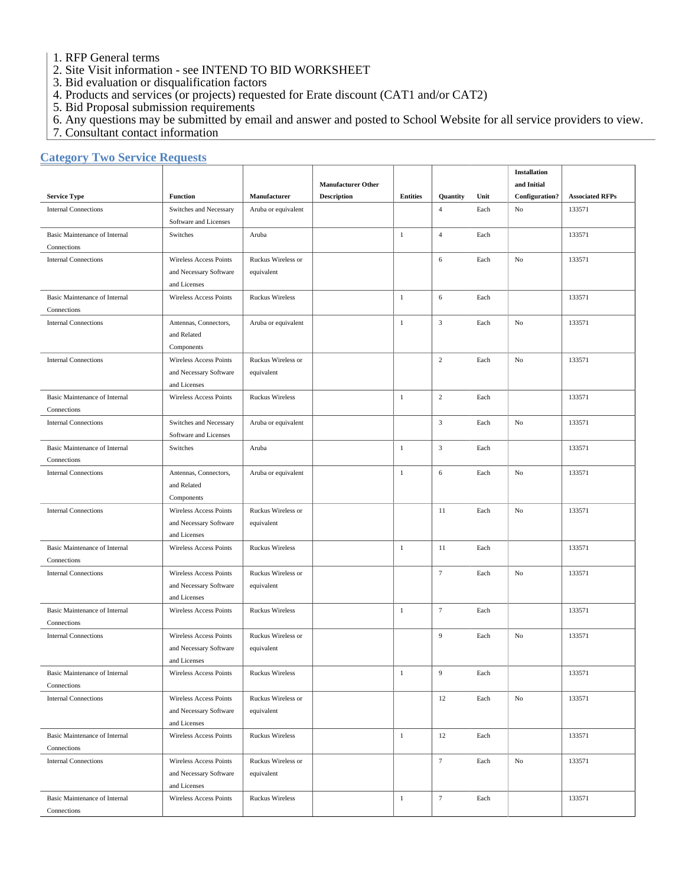1. RFP General terms

- 2. Site Visit information see INTEND TO BID WORKSHEET
- 3. Bid evaluation or disqualification factors
- 4. Products and services (or projects) requested for Erate discount (CAT1 and/or CAT2)
- 5. Bid Proposal submission requirements
- 6. Any questions may be submitted by email and answer and posted to School Website for all service providers to view.
- 7. Consultant contact information

## **Category Two Service Requests**

|                                                     |                                                 |                        |                           |                 |                  |      | <b>Installation</b> |                        |
|-----------------------------------------------------|-------------------------------------------------|------------------------|---------------------------|-----------------|------------------|------|---------------------|------------------------|
|                                                     |                                                 |                        | <b>Manufacturer Other</b> |                 |                  |      | and Initial         |                        |
| <b>Service Type</b>                                 | <b>Function</b>                                 | Manufacturer           | <b>Description</b>        | <b>Entities</b> | Quantity         | Unit | Configuration?      | <b>Associated RFPs</b> |
| <b>Internal Connections</b>                         | Switches and Necessary<br>Software and Licenses | Aruba or equivalent    |                           |                 | $\overline{4}$   | Each | No                  | 133571                 |
| <b>Basic Maintenance of Internal</b><br>Connections | Switches                                        | Aruba                  |                           | $\mathbf{1}$    | $\overline{4}$   | Each |                     | 133571                 |
| <b>Internal Connections</b>                         | Wireless Access Points                          | Ruckus Wireless or     |                           |                 | 6                | Each | No                  | 133571                 |
|                                                     | and Necessary Software                          | equivalent             |                           |                 |                  |      |                     |                        |
|                                                     | and Licenses                                    |                        |                           |                 |                  |      |                     |                        |
| <b>Basic Maintenance of Internal</b>                | <b>Wireless Access Points</b>                   | <b>Ruckus Wireless</b> |                           | $\mathbf{1}$    | 6                | Each |                     | 133571                 |
| Connections                                         |                                                 |                        |                           |                 |                  |      |                     |                        |
| <b>Internal Connections</b>                         | Antennas, Connectors,                           | Aruba or equivalent    |                           | $\mathbf{1}$    | $\sqrt{3}$       | Each | $\rm No$            | 133571                 |
|                                                     | and Related                                     |                        |                           |                 |                  |      |                     |                        |
|                                                     | Components                                      |                        |                           |                 |                  |      |                     |                        |
| <b>Internal Connections</b>                         | Wireless Access Points                          | Ruckus Wireless or     |                           |                 | $\sqrt{2}$       | Each | No                  | 133571                 |
|                                                     | and Necessary Software                          | equivalent             |                           |                 |                  |      |                     |                        |
|                                                     | and Licenses                                    |                        |                           |                 |                  |      |                     |                        |
| <b>Basic Maintenance of Internal</b>                | <b>Wireless Access Points</b>                   | <b>Ruckus Wireless</b> |                           | $\mathbf{1}$    | $\overline{c}$   | Each |                     | 133571                 |
| Connections                                         |                                                 |                        |                           |                 |                  |      |                     |                        |
| <b>Internal Connections</b>                         | Switches and Necessary                          | Aruba or equivalent    |                           |                 | $\mathbf{3}$     | Each | No                  | 133571                 |
|                                                     | Software and Licenses                           |                        |                           |                 |                  |      |                     |                        |
| <b>Basic Maintenance of Internal</b>                | Switches                                        | Aruba                  |                           | $\mathbf{1}$    | $\mathbf{3}$     | Each |                     | 133571                 |
| Connections                                         |                                                 |                        |                           |                 |                  |      |                     |                        |
| <b>Internal Connections</b>                         | Antennas, Connectors,                           | Aruba or equivalent    |                           | $\mathbf{1}$    | 6                | Each | No                  | 133571                 |
|                                                     | and Related                                     |                        |                           |                 |                  |      |                     |                        |
|                                                     | Components                                      |                        |                           |                 |                  |      |                     |                        |
| <b>Internal Connections</b>                         | Wireless Access Points                          | Ruckus Wireless or     |                           |                 | 11               | Each | No                  | 133571                 |
|                                                     | and Necessary Software                          | equivalent             |                           |                 |                  |      |                     |                        |
|                                                     | and Licenses                                    |                        |                           |                 |                  |      |                     |                        |
| <b>Basic Maintenance of Internal</b>                | <b>Wireless Access Points</b>                   | <b>Ruckus Wireless</b> |                           | $\mathbf{1}$    | 11               | Each |                     | 133571                 |
| Connections                                         |                                                 |                        |                           |                 |                  |      |                     |                        |
| <b>Internal Connections</b>                         | <b>Wireless Access Points</b>                   | Ruckus Wireless or     |                           |                 | $\tau$           | Each | No                  | 133571                 |
|                                                     | and Necessary Software<br>and Licenses          | equivalent             |                           |                 |                  |      |                     |                        |
| <b>Basic Maintenance of Internal</b>                |                                                 | <b>Ruckus Wireless</b> |                           | $\mathbf{1}$    | $\tau$           | Each |                     | 133571                 |
| Connections                                         | Wireless Access Points                          |                        |                           |                 |                  |      |                     |                        |
| <b>Internal Connections</b>                         | Wireless Access Points                          | Ruckus Wireless or     |                           |                 | 9                | Each | No                  | 133571                 |
|                                                     | and Necessary Software                          | equivalent             |                           |                 |                  |      |                     |                        |
|                                                     | and Licenses                                    |                        |                           |                 |                  |      |                     |                        |
| Basic Maintenance of Internal                       | Wireless Access Points                          | <b>Ruckus Wireless</b> |                           | $\mathbf{1}$    | $\boldsymbol{9}$ | Each |                     | 133571                 |
| Connections                                         |                                                 |                        |                           |                 |                  |      |                     |                        |
| <b>Internal Connections</b>                         | Wireless Access Points                          | Ruckus Wireless or     |                           |                 | 12               | Each | $\rm No$            | 133571                 |
|                                                     | and Necessary Software                          | equivalent             |                           |                 |                  |      |                     |                        |
|                                                     | and Licenses                                    |                        |                           |                 |                  |      |                     |                        |
| <b>Basic Maintenance of Internal</b>                | Wireless Access Points                          | <b>Ruckus Wireless</b> |                           | $\mathbf{1}$    | 12               | Each |                     | 133571                 |
| Connections                                         |                                                 |                        |                           |                 |                  |      |                     |                        |
| <b>Internal Connections</b>                         | Wireless Access Points                          | Ruckus Wireless or     |                           |                 | $\tau$           | Each | No                  | 133571                 |
|                                                     | and Necessary Software                          | equivalent             |                           |                 |                  |      |                     |                        |
|                                                     | and Licenses                                    |                        |                           |                 |                  |      |                     |                        |
| <b>Basic Maintenance of Internal</b>                | Wireless Access Points                          | <b>Ruckus Wireless</b> |                           | $\,1\,$         | $\tau$           | Each |                     | 133571                 |
| Connections                                         |                                                 |                        |                           |                 |                  |      |                     |                        |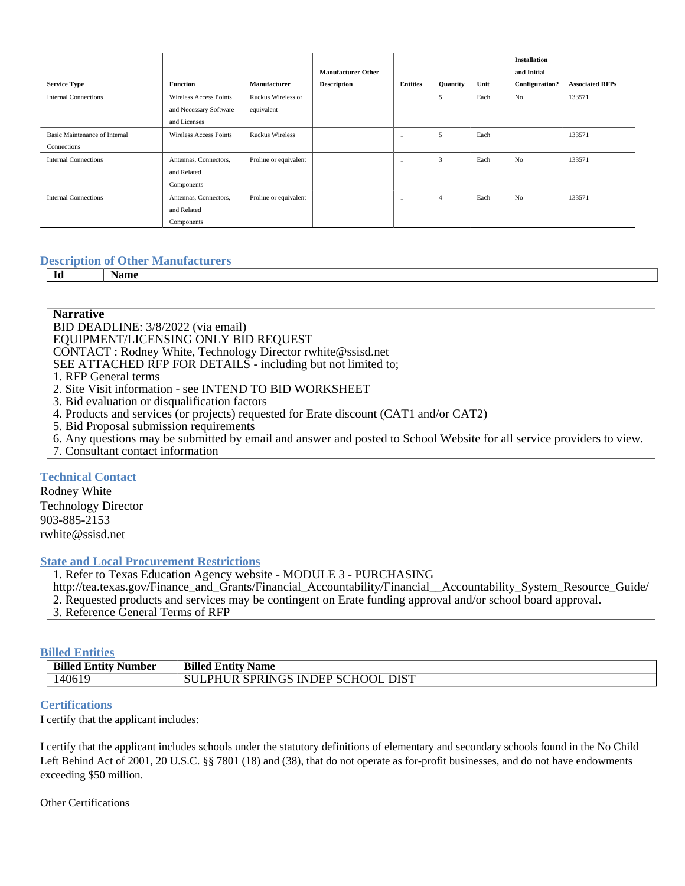|                               |                               |                        | <b>Manufacturer Other</b> |                 |                 |      | <b>Installation</b><br>and Initial |                        |
|-------------------------------|-------------------------------|------------------------|---------------------------|-----------------|-----------------|------|------------------------------------|------------------------|
| <b>Service Type</b>           | <b>Function</b>               | Manufacturer           | <b>Description</b>        | <b>Entities</b> | <b>Quantity</b> | Unit | <b>Configuration?</b>              | <b>Associated RFPs</b> |
| <b>Internal Connections</b>   | Wireless Access Points        | Ruckus Wireless or     |                           |                 | 5               | Each | N <sub>o</sub>                     | 133571                 |
|                               | and Necessary Software        | equivalent             |                           |                 |                 |      |                                    |                        |
|                               | and Licenses                  |                        |                           |                 |                 |      |                                    |                        |
| Basic Maintenance of Internal | <b>Wireless Access Points</b> | <b>Ruckus Wireless</b> |                           |                 | 5               | Each |                                    | 133571                 |
| Connections                   |                               |                        |                           |                 |                 |      |                                    |                        |
| <b>Internal Connections</b>   | Antennas, Connectors,         | Proline or equivalent  |                           |                 | 3               | Each | N <sub>o</sub>                     | 133571                 |
|                               | and Related                   |                        |                           |                 |                 |      |                                    |                        |
|                               | Components                    |                        |                           |                 |                 |      |                                    |                        |
| <b>Internal Connections</b>   | Antennas, Connectors,         | Proline or equivalent  |                           |                 | $\overline{4}$  | Each | N <sub>o</sub>                     | 133571                 |
|                               | and Related                   |                        |                           |                 |                 |      |                                    |                        |
|                               | Components                    |                        |                           |                 |                 |      |                                    |                        |

## **Description of Other Manufacturers**

**Id Name**

**Narrative**

BID DEADLINE: 3/8/2022 (via email)

EQUIPMENT/LICENSING ONLY BID REQUEST

CONTACT : Rodney White, Technology Director rwhite@ssisd.net

SEE ATTACHED RFP FOR DETAILS - including but not limited to;

- 1. RFP General terms
- 2. Site Visit information see INTEND TO BID WORKSHEET
- 3. Bid evaluation or disqualification factors
- 4. Products and services (or projects) requested for Erate discount (CAT1 and/or CAT2)
- 5. Bid Proposal submission requirements
- 6. Any questions may be submitted by email and answer and posted to School Website for all service providers to view.
- 7. Consultant contact information

## **Technical Contact**

Rodney White Technology Director 903-885-2153 rwhite@ssisd.net

## **State and Local Procurement Restrictions**

1. Refer to Texas Education Agency website - MODULE 3 - PURCHASING

http://tea.texas.gov/Finance\_and\_Grants/Financial\_Accountability/Financial\_\_Accountability\_System\_Resource\_Guide/

2. Requested products and services may be contingent on Erate funding approval and/or school board approval.

3. Reference General Terms of RFP

## **Billed Entities**

| <b>Billed Entity Number</b> | <b>Billed Entity Name</b>         |
|-----------------------------|-----------------------------------|
| 140619                      | SULPHUR SPRINGS INDEP SCHOOL DIST |

## **Certifications**

I certify that the applicant includes:

I certify that the applicant includes schools under the statutory definitions of elementary and secondary schools found in the No Child Left Behind Act of 2001, 20 U.S.C. §§ 7801 (18) and (38), that do not operate as for-profit businesses, and do not have endowments exceeding \$50 million.

## Other Certifications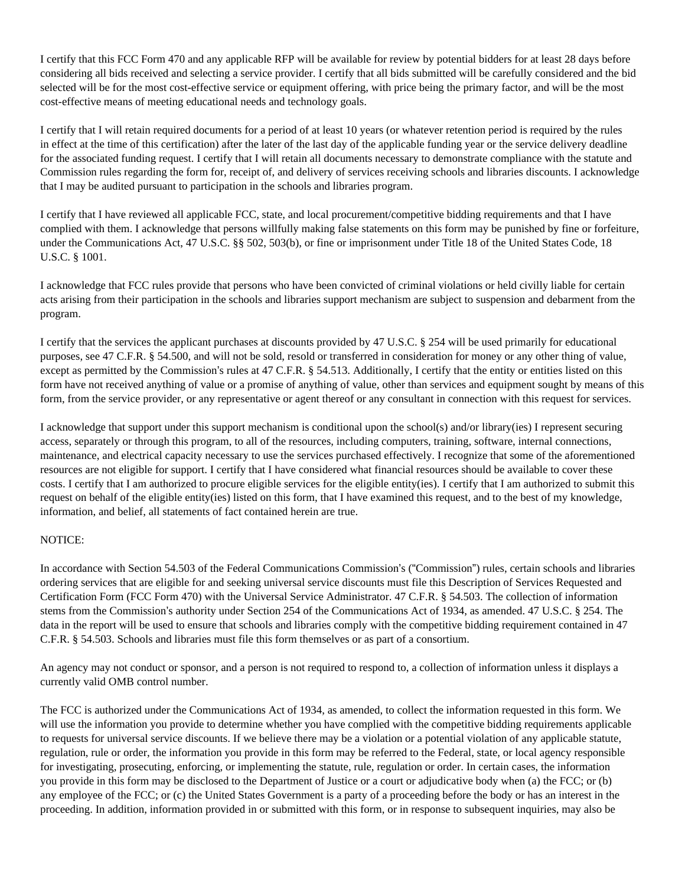I certify that this FCC Form 470 and any applicable RFP will be available for review by potential bidders for at least 28 days before considering all bids received and selecting a service provider. I certify that all bids submitted will be carefully considered and the bid selected will be for the most cost-effective service or equipment offering, with price being the primary factor, and will be the most cost-effective means of meeting educational needs and technology goals.

I certify that I will retain required documents for a period of at least 10 years (or whatever retention period is required by the rules in effect at the time of this certification) after the later of the last day of the applicable funding year or the service delivery deadline for the associated funding request. I certify that I will retain all documents necessary to demonstrate compliance with the statute and Commission rules regarding the form for, receipt of, and delivery of services receiving schools and libraries discounts. I acknowledge that I may be audited pursuant to participation in the schools and libraries program.

I certify that I have reviewed all applicable FCC, state, and local procurement/competitive bidding requirements and that I have complied with them. I acknowledge that persons willfully making false statements on this form may be punished by fine or forfeiture, under the Communications Act, 47 U.S.C. §§ 502, 503(b), or fine or imprisonment under Title 18 of the United States Code, 18 U.S.C. § 1001.

I acknowledge that FCC rules provide that persons who have been convicted of criminal violations or held civilly liable for certain acts arising from their participation in the schools and libraries support mechanism are subject to suspension and debarment from the program.

I certify that the services the applicant purchases at discounts provided by 47 U.S.C. § 254 will be used primarily for educational purposes, see 47 C.F.R. § 54.500, and will not be sold, resold or transferred in consideration for money or any other thing of value, except as permitted by the Commission's rules at 47 C.F.R. § 54.513. Additionally, I certify that the entity or entities listed on this form have not received anything of value or a promise of anything of value, other than services and equipment sought by means of this form, from the service provider, or any representative or agent thereof or any consultant in connection with this request for services.

I acknowledge that support under this support mechanism is conditional upon the school(s) and/or library(ies) I represent securing access, separately or through this program, to all of the resources, including computers, training, software, internal connections, maintenance, and electrical capacity necessary to use the services purchased effectively. I recognize that some of the aforementioned resources are not eligible for support. I certify that I have considered what financial resources should be available to cover these costs. I certify that I am authorized to procure eligible services for the eligible entity(ies). I certify that I am authorized to submit this request on behalf of the eligible entity(ies) listed on this form, that I have examined this request, and to the best of my knowledge, information, and belief, all statements of fact contained herein are true.

## NOTICE:

In accordance with Section 54.503 of the Federal Communications Commission's ("Commission") rules, certain schools and libraries ordering services that are eligible for and seeking universal service discounts must file this Description of Services Requested and Certification Form (FCC Form 470) with the Universal Service Administrator. 47 C.F.R. § 54.503. The collection of information stems from the Commission's authority under Section 254 of the Communications Act of 1934, as amended. 47 U.S.C. § 254. The data in the report will be used to ensure that schools and libraries comply with the competitive bidding requirement contained in 47 C.F.R. § 54.503. Schools and libraries must file this form themselves or as part of a consortium.

An agency may not conduct or sponsor, and a person is not required to respond to, a collection of information unless it displays a currently valid OMB control number.

The FCC is authorized under the Communications Act of 1934, as amended, to collect the information requested in this form. We will use the information you provide to determine whether you have complied with the competitive bidding requirements applicable to requests for universal service discounts. If we believe there may be a violation or a potential violation of any applicable statute, regulation, rule or order, the information you provide in this form may be referred to the Federal, state, or local agency responsible for investigating, prosecuting, enforcing, or implementing the statute, rule, regulation or order. In certain cases, the information you provide in this form may be disclosed to the Department of Justice or a court or adjudicative body when (a) the FCC; or (b) any employee of the FCC; or (c) the United States Government is a party of a proceeding before the body or has an interest in the proceeding. In addition, information provided in or submitted with this form, or in response to subsequent inquiries, may also be